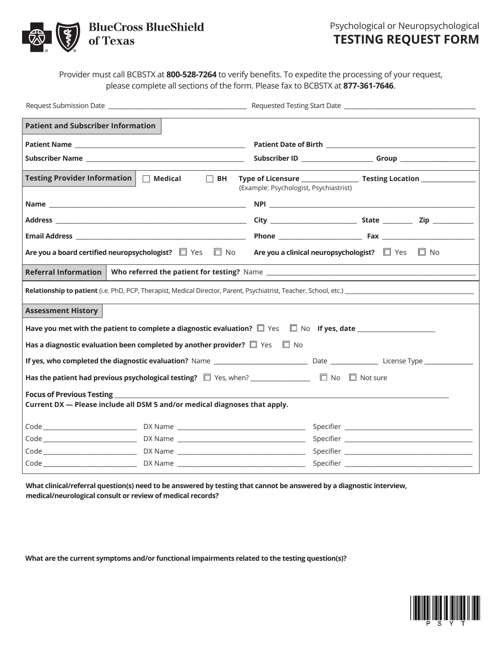

 Psychological or Neuropsychological **TESTING REQUEST FORM**

Provider must call BCBSTX at **800-528-7264** to verify benefits. To expedite the processing of your request, please complete all sections of the form. Please fax to BCBSTX at **877-361-7646**.

| <b>Patient and Subscriber Information</b>                                                                                                |                                        |  |  |
|------------------------------------------------------------------------------------------------------------------------------------------|----------------------------------------|--|--|
|                                                                                                                                          |                                        |  |  |
|                                                                                                                                          |                                        |  |  |
| <b>Testing Provider Information</b><br>$\Box$ Medical $\Box$ BH                                                                          | (Example: Psychologist, Psychiastrist) |  |  |
|                                                                                                                                          |                                        |  |  |
|                                                                                                                                          |                                        |  |  |
|                                                                                                                                          |                                        |  |  |
| Are you a board certified neuropsychologist? $\square$ Yes $\square$ No Are you a clinical neuropsychologist? $\square$ Yes $\square$ No |                                        |  |  |
|                                                                                                                                          |                                        |  |  |
|                                                                                                                                          |                                        |  |  |
| <b>Assessment History</b>                                                                                                                |                                        |  |  |
|                                                                                                                                          |                                        |  |  |
| Has a diagnostic evaluation been completed by another provider? $\square$ Yes $\square$ No                                               |                                        |  |  |
|                                                                                                                                          |                                        |  |  |
|                                                                                                                                          |                                        |  |  |
| Current DX - Please include all DSM 5 and/or medical diagnoses that apply.                                                               |                                        |  |  |
|                                                                                                                                          |                                        |  |  |
|                                                                                                                                          |                                        |  |  |
|                                                                                                                                          |                                        |  |  |
|                                                                                                                                          |                                        |  |  |

**What clinical/referral question(s) need to be answered by testing that cannot be answered by a diagnostic interview, medical/neurological consult or review of medical records?** 

**What are the current symptoms and/or functional impairments related to the testing question(s)?**